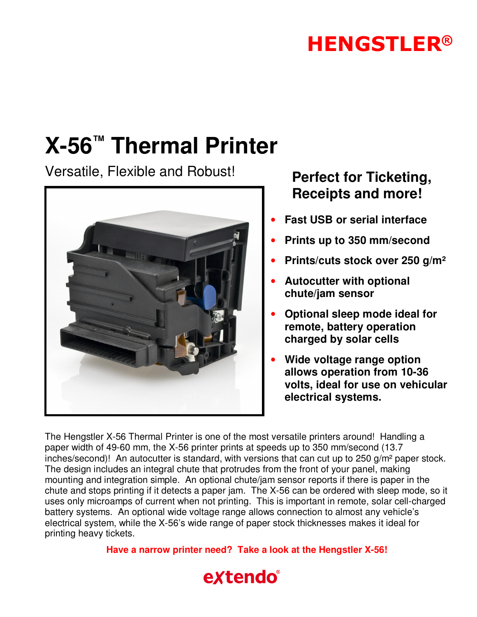## **HENGSTLER®**

## **X-56™ Thermal Printer**

Versatile, Flexible and Robust! **Perfect for Ticketing,**



# **Receipts and more!**

- **Fast USB or serial interface**
- **Prints up to 350 mm/second**
- **Prints/cuts stock over 250 g/m²**
- **Autocutter with optional chute/jam sensor**
- **Optional sleep mode ideal for remote, battery operation charged by solar cells**
- **Wide voltage range option allows operation from 10-36 volts, ideal for use on vehicular electrical systems.**

The Hengstler X-56 Thermal Printer is one of the most versatile printers around! Handling a paper width of 49-60 mm, the X-56 printer prints at speeds up to 350 mm/second (13.7 inches/second)! An autocutter is standard, with versions that can cut up to 250 g/m² paper stock. The design includes an integral chute that protrudes from the front of your panel, making mounting and integration simple. An optional chute/jam sensor reports if there is paper in the chute and stops printing if it detects a paper jam. The X-56 can be ordered with sleep mode, so it uses only microamps of current when not printing. This is important in remote, solar cell-charged battery systems. An optional wide voltage range allows connection to almost any vehicle's electrical system, while the X-56's wide range of paper stock thicknesses makes it ideal for printing heavy tickets.

**Have a narrow printer need? Take a look at the Hengstler X-56!** 

### extendo®